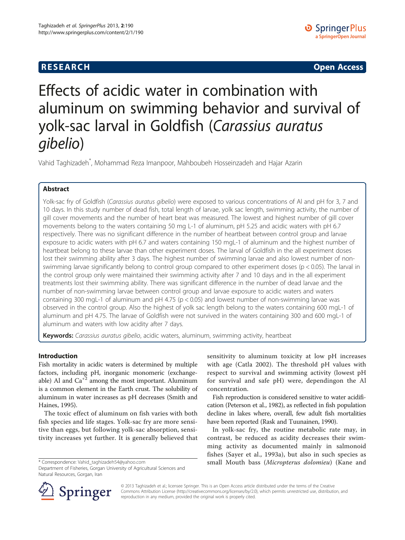# **RESEARCH CHINESE ARCH CHINESE ARCH CHINESE ARCH <b>CHINESE ARCH**

# Effects of acidic water in combination with aluminum on swimming behavior and survival of yolk-sac larval in Goldfish (Carassius auratus gibelio)

Vahid Taghizadeh\* , Mohammad Reza Imanpoor, Mahboubeh Hosseinzadeh and Hajar Azarin

# Abstract

Yolk-sac fry of Goldfish (Carassius auratus gibelio) were exposed to various concentrations of Al and pH for 3, 7 and 10 days. In this study number of dead fish, total length of larvae, yolk sac length, swimming activity, the number of gill cover movements and the number of heart beat was measured. The lowest and highest number of gill cover movements belong to the waters containing 50 mg L-1 of aluminum, pH 5.25 and acidic waters with pH 6.7 respectively. There was no significant difference in the number of heartbeat between control group and larvae exposure to acidic waters with pH 6.7 and waters containing 150 mgL-1 of aluminum and the highest number of heartbeat belong to these larvae than other experiment doses. The larval of Goldfish in the all experiment doses lost their swimming ability after 3 days. The highest number of swimming larvae and also lowest number of nonswimming larvae significantly belong to control group compared to other experiment doses (p < 0.05). The larval in the control group only were maintained their swimming activity after 7 and 10 days and in the all experiment treatments lost their swimming ability. There was significant difference in the number of dead larvae and the number of non-swimming larvae between control group and larvae exposure to acidic waters and waters containing 300 mgL-1 of aluminum and pH 4.75 (p < 0.05) and lowest number of non-swimming larvae was observed in the control group. Also the highest of yolk sac length belong to the waters containing 600 mgL-1 of aluminum and pH 4.75. The larvae of Goldfish were not survived in the waters containing 300 and 600 mgL-1 of aluminum and waters with low acidity after 7 days.

Keywords: Carassius auratus gibelio, acidic waters, aluminum, swimming activity, heartbeat

# Introduction

Fish mortality in acidic waters is determined by multiple factors, including pH, inorganic monomeric (exchangeable) Al and  $Ca^{2}$  among the most important. Aluminum is a common element in the Earth crust. The solubility of aluminum in water increases as pH decreases (Smith and Haines, [1995](#page-5-0)).

The toxic effect of aluminum on fish varies with both fish species and life stages. Yolk-sac fry are more sensitive than eggs, but following yolk-sac absorption, sensitivity increases yet further. It is generally believed that

Department of Fisheries, Gorgan University of Agricultural Sciences and Natural Resources, Gorgan, Iran

sensitivity to aluminum toxicity at low pH increases with age (Catla [2002](#page-4-0)). The threshold pH values with respect to survival and swimming activity (lowest pH for survival and safe pH) were, dependingon the Al concentration.

Fish reproduction is considered sensitive to water acidification (Peterson et al., [1982\)](#page-4-0), as reflected in fish population decline in lakes where, overall, few adult fish mortalities have been reported (Rask and Tuunainen, [1990\)](#page-5-0).

In yolk-sac fry, the routine metabolic rate may, in contrast, be reduced as acidity decreases their swimming activity as documented mainly in salmonoid fishes (Sayer et al., [1993a\)](#page-5-0), but also in such species as \* Correspondence: [Vahid\\_taghizadeh54@yahoo.com](mailto:Vahid_taghizadeh54@yahoo.com) small Mouth bass (Micropterus dolomieu) (Kane and



© 2013 Taghizadeh et al.; licensee Springer. This is an Open Access article distributed under the terms of the Creative Commons Attribution License (<http://creativecommons.org/licenses/by/2.0>), which permits unrestricted use, distribution, and reproduction in any medium, provided the original work is properly cited.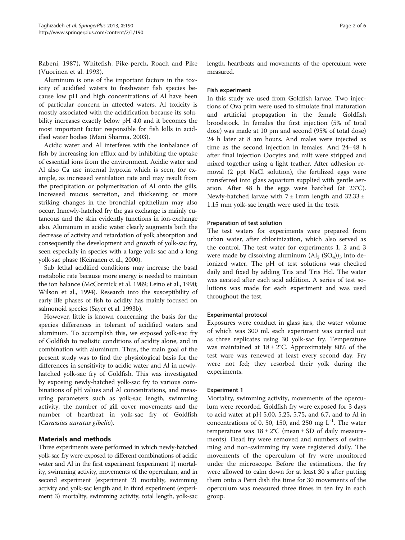Rabeni, [1987](#page-4-0)), Whitefish, Pike-perch, Roach and Pike (Vuorinen et al. [1993\)](#page-5-0).

Aluminum is one of the important factors in the toxicity of acidified waters to freshwater fish species because low pH and high concentrations of Al have been of particular concern in affected waters. Al toxicity is mostly associated with the acidification because its solubility increases exactly below pH 4.0 and it becomes the most important factor responsible for fish kills in acidified water bodies (Mani Sharma, [2003](#page-4-0)).

Acidic water and Al interferes with the ionbalance of fish by increasing ion efflux and by inhibiting the uptake of essential ions from the environment. Acidic water and Al also Ca use internal hypoxia which is seen, for example, as increased ventilation rate and may result from the precipitation or polymerization of Al onto the gills. Increased mucus secretion, and thickening or more striking changes in the bronchial epithelium may also occur. Innewly-hatched fry the gas exchange is mainly cutaneous and the skin evidently functions in ion-exchange also. Aluminum in acidic water clearly augments both the decrease of activity and retardation of yolk absorption and consequently the development and growth of yolk-sac fry, seen especially in species with a large yolk-sac and a long yolk-sac phase (Keinanen et al., [2000](#page-4-0)).

Sub lethal acidified conditions may increase the basal metabolic rate because more energy is needed to maintain the ion balance (McCormick et al. [1989](#page-4-0); Leino et al., [1990](#page-4-0); Wilson et al., [1994\)](#page-5-0). Research into the susceptibility of early life phases of fish to acidity has mainly focused on salmonoid species (Sayer et al. [1993b](#page-5-0)).

However, little is known concerning the basis for the species differences in tolerant of acidified waters and aluminum. To accomplish this, we exposed yolk-sac fry of Goldfish to realistic conditions of acidity alone, and in combination with aluminum. Thus, the main goal of the present study was to find the physiological basis for the differences in sensitivity to acidic water and Al in newlyhatched yolk-sac fry of Goldfish. This was investigated by exposing newly-hatched yolk-sac fry to various combinations of pH values and Al concentrations, and measuring parameters such as yolk-sac length, swimming activity, the number of gill cover movements and the number of heartbeat in yolk-sac fry of Goldfish (Carassius auratus gibelio).

## Materials and methods

Three experiments were performed in which newly-hatched yolk-sac fry were exposed to different combinations of acidic water and Al in the first experiment (experiment 1) mortality, swimming activity, movements of the operculum, and in second experiment (experiment 2) mortality, swimming activity and yolk-sac length and in third experiment (experiment 3) mortality, swimming activity, total length, yolk-sac length, heartbeats and movements of the operculum were measured.

### Fish experiment

In this study we used from Goldfish larvae. Two injections of Ova prim were used to simulate final maturation and artificial propagation in the female Goldfish broodstock. In females the first injection (5% of total dose) was made at 10 pm and second (95% of total dose) 24 h later at 8 am hours. And males were injected as time as the second injection in females. And 24–48 h after final injection Oocytes and milt were stripped and mixed together using a light feather. After adhesion removal (2 ppt NaCl solution), the fertilized eggs were transferred into glass aquarium supplied with gentle aeration. After 48 h the eggs were hatched (at 23°C). Newly-hatched larvae with  $7 \pm 1$ mm length and 32.33  $\pm$ 1.15 mm yolk-sac length were used in the tests.

### Preparation of test solution

The test waters for experiments were prepared from urban water, after chlorinization, which also served as the control. The test water for experiments 1, 2 and 3 were made by dissolving aluminum  $(Al_2 (SO_4))_3$  into deionized water. The pH of test solutions was checked daily and fixed by adding Tris and Tris Hcl. The water was aerated after each acid addition. A series of test solutions was made for each experiment and was used throughout the test.

### Experimental protocol

Exposures were conduct in glass jars, the water volume of which was 300 ml. each experiment was carried out as three replicates using 30 yolk-sac fry. Temperature was maintained at  $18 \pm 2$ °C. Approximately 80% of the test ware was renewed at least every second day. Fry were not fed; they resorbed their yolk during the experiments.

### Experiment 1

Mortality, swimming activity, movements of the operculum were recorded. Goldfish fry were exposed for 3 days to acid water at pH 5.00, 5.25, 5.75, and 6.7, and to Al in concentrations of 0, 50, 150, and 250 mg  $L^{-1}$ . The water temperature was  $18 \pm 2^{\circ}$ C (mean  $\pm$  SD of daily measurements). Dead fry were removed and numbers of swimming and non-swimming fry were registered daily. The movements of the operculum of fry were monitored under the microscope. Before the estimations, the fry were allowed to calm down for at least 30 s after putting them onto a Petri dish the time for 30 movements of the operculum was measured three times in ten fry in each group.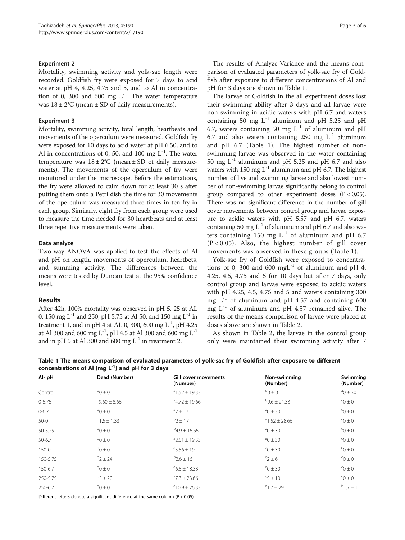### Experiment 2

Mortality, swimming activity and yolk-sac length were recorded. Goldfish fry were exposed for 7 days to acid water at pH 4, 4.25, 4.75 and 5, and to Al in concentration of 0, 300 and 600 mg  $L^{-1}$ . The water temperature was  $18 \pm 2^{\circ}$ C (mean  $\pm$  SD of daily measurements).

### Experiment 3

Mortality, swimming activity, total length, heartbeats and movements of the operculum were measured. Goldfish fry were exposed for 10 days to acid water at pH 6.50, and to Al in concentrations of 0, 50, and 100 mg  $L^{-1}$ . The water temperature was  $18 \pm 2$ °C (mean  $\pm$  SD of daily measurements). The movements of the operculum of fry were monitored under the microscope. Before the estimations, the fry were allowed to calm down for at least 30 s after putting them onto a Petri dish the time for 30 movements of the operculum was measured three times in ten fry in each group. Similarly, eight fry from each group were used to measure the time needed for 30 heartbeats and at least three repetitive measurements were taken.

### Data analyze

Two-way ANOVA was applied to test the effects of Al and pH on length, movements of operculum, heartbets, and summing activity. The differences between the means were tested by Duncan test at the 95% confidence level.

### Results

After 42h, 100% mortality was observed in pH 5. 25 at AL 0, 150 mg  $L^{-1}$  and 250, pH 5.75 at Al 50, and 150 mg  $L^{-1}$  in treatment 1, and in pH 4 at AL 0, 300, 600 mg  $L^{-1}$ , pH 4.25 at Al 300 and 600 mg  $L^{-1}$ , pH 4.5 at Al 300 and 600 mg  $L^{-1}$ and in pH 5 at Al 300 and 600 mg  $L^{-1}$  in treatment 2.

The results of Analyze-Variance and the means comparison of evaluated parameters of yolk-sac fry of Goldfish after exposure to different concentrations of Al and pH for 3 days are shown in Table 1.

The larvae of Goldfish in the all experiment doses lost their swimming ability after 3 days and all larvae were non-swimming in acidic waters with pH 6.7 and waters containing 50 mg  $L^{-1}$  aluminum and pH 5.25 and pH 6.7, waters containing 50 mg  $L^{-1}$  of aluminum and pH 6.7 and also waters containing 250 mg  $L^{-1}$  aluminum and pH 6.7 (Table 1). The highest number of nonswimming larvae was observed in the water containing 50 mg  $L^{-1}$  aluminum and pH 5.25 and pH 6.7 and also waters with 150 mg  $L^{-1}$  aluminum and pH 6.7. The highest number of live and swimming larvae and also lowest number of non-swimming larvae significantly belong to control group compared to other experiment doses  $(P < 0.05)$ . There was no significant difference in the number of gill cover movements between control group and larvae exposure to acidic waters with pH 5.57 and pH 6.7, waters containing 50 mg  $L^{-1}$  of aluminum and pH 6.7 and also waters containing 150 mg  $L^{-1}$  of aluminum and pH 6.7  $(P < 0.05)$ . Also, the highest number of gill cover movements was observed in these groups (Table 1).

Yolk-sac fry of Goldfish were exposed to concentrations of 0, 300 and 600 mgL $^{-1}$  of aluminum and pH 4, 4.25, 4.5, 4.75 and 5 for 10 days but after 7 days, only control group and larvae were exposed to acidic waters with pH 4.25, 4.5, 4.75 and 5 and waters containing  $300$ mg  $L^{-1}$  of aluminum and pH 4.57 and containing 600 mg  $L^{-1}$  of aluminum and pH 4.57 remained alive. The results of the means comparison of larvae were placed at doses above are shown in Table [2](#page-3-0).

As shown in Table [2,](#page-3-0) the larvae in the control group only were maintained their swimming activity after 7

| Al-pH      | Dead (Number)     | Gill cover movements<br>(Number) | Non-swimming<br>(Number)  | Swimming<br>(Number)   |
|------------|-------------------|----------------------------------|---------------------------|------------------------|
| Control    | $0 \pm 0$         | $^{\circ}1.52 \pm 19.33$         | $0 \pm 0$                 | $^{\text{a}}$ 0 ± 30   |
| $0 - 5.75$ | $-9.60 \pm 8.66$  | $4.72 \pm 19.66$                 | $^{b}9.6 + 21.33$         | $0 \pm 0$              |
| $0 - 6.7$  | $0 \pm 0$         | $a$ <sub>2</sub> $\pm$ 17        | $^{\circ}$ 0 ± 30         | $0 \pm 0$              |
| $50-0$     | $^{d}$ 1.5 ± 1.33 | $b$ 2 ± 17                       | $^{\circ}1.52 \pm 28.66$  | $0 \pm 0$              |
| 50-5.25    | $0 \pm 0$         | $^{b}4.9 \pm 16.66$              | $^{\circ}$ 0 ± 30         | $0 \pm 0$              |
| $50 - 6.7$ | $0 \pm 0$         | $^{\circ}$ 2.51 ± 19.33          | $a$ <sup>0</sup> $\pm$ 30 | $0 \pm 0$ <sup>o</sup> |
| $150 - 0$  | $0 \pm 0$         | $^{\circ}$ 5.56 ± 19             | $^{\circ}$ 0 ± 30         | $0 \pm 0$              |
| 150-5.75   | $b_2 \pm 24$      | $b2.6 \pm 16$                    | ${}^{c}2 \pm 6$           | $0 \pm 0$              |
| 150-6.7    | $0 \pm 0$         | $^{\circ}6.5 \pm 18.33$          | $^{\circ}$ 0 ± 30         | $0 \pm 0$              |
| 250-5.75   | $^{b}$ 5 ± 20     | $47.3 \pm 23.66$                 | $\mathrm{c}_{5\,\pm\,10}$ | $0 \pm 0$              |
| 250-6.7    | $0 \pm 0$         | $a$ 10.9 ± 26.33                 | $a^{a}$ 1.7 ± 29          | $b_{1.7 \pm 1}$        |

Table 1 The means comparison of evaluated parameters of yolk-sac fry of Goldfish after exposure to different concentrations of Al (mg  $L^{-1}$ ) and pH for 3 days

Different letters denote a significant difference at the same column ( $P < 0.05$ ).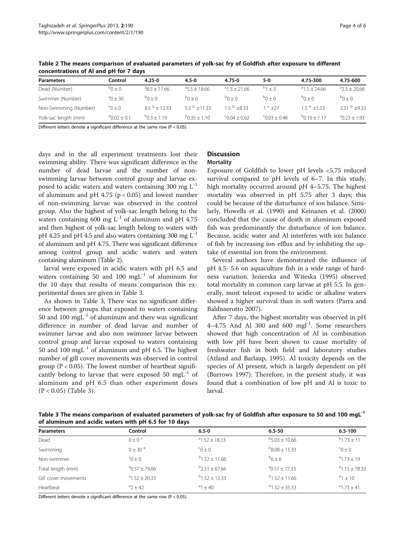| <b>Parameters</b>     | Control            | 4.25-0            | $4.5 - 0$             | 4.75-0           | 5-0                  | 4.75-300           | 4.75-600           |
|-----------------------|--------------------|-------------------|-----------------------|------------------|----------------------|--------------------|--------------------|
| Dead (Number)         | $0 \pm 0^\circ$    | ${}^{a}85+1766$   | $35.5 + 18.66$        | $^{a}15+2166$    | $^{b}1 + 3$          | $^{a}1.5 + 24.66$  | $42.5 + 20.66$     |
| Swimmer (Number)      | $^{a}$ 0 + 30      | $0 + 0^d$         | $^{b}() + ()$         | $0 + 0^{\circ}$  | $0 + 0^{\circ}$      | $0 + 0^d$          | $0 + 0^d$          |
| Non-Swimming (Number) | $0 \pm 0$          | $8.5^{b}$ + 12.33 | 5.5 $^{\circ}$ ±11.33 | $1.5^{b} + 8.33$ | $a + 27$             | $1.5^{b} + 5.33$   | $2.51^{b} + 9.33$  |
| Yolk-sac length (mm)  | $^{9}$ 0 0 2 + 0 1 | $P(0.3 + 1.19)$   | $^{b}$ 0 35 + 1 10    | $-6004 + 062$    | ${}^{c}$ 0.03 + 0.48 | $^{b}$ 0 19 + 1 17 | $^{a}$ 0 23 + 1 93 |

<span id="page-3-0"></span>Table 2 The means comparison of evaluated parameters of yolk-sac fry of Goldfish after exposure to different concentrations of Al and pH for 7 days

Different letters denote a significant difference at the same row (P < 0.05).

days and in the all experiment treatments lost their swimming ability. There was significant difference in the number of dead larvae and the number of nonswimming larvae between control group and larvae exposed to acidic waters and waters containing 300 mg  $L^{-1}$ of aluminum and pH 4.75 ( $p < 0.05$ ) and lowest number of non-swimming larvae was observed in the control group. Also the highest of yolk-sac length belong to the waters containing 600 mg  $L^{-1}$  of aluminum and pH 4.75 and then highest of yolk-sac length belong to waters with pH 4.25 and pH 4.5 and also waters containing 300 mg  $L^{-1}$ of aluminum and pH 4.75. There was significant difference among control group and acidic waters and waters containing aluminum (Table 2).

larval were exposed in acidic waters with pH 6.5 and waters containing 50 and 100  $mgL^{-1}$  of aluminum for the 10 days that results of means comparison this experimental doses are given in Table 3.

As shown in Table 3, There was no significant difference between groups that exposed to waters containing 50 and 100 mg $L^{-1}$  of aluminum and there was significant difference in number of dead larvae and number of swimmer larvae and also non swimmer larvae between control group and larvae exposed to waters containing 50 and 100 mgL $^{-1}$  of aluminum and pH 6.5. The highest number of gill cover movements was observed in control group ( $P < 0.05$ ). The lowest number of heartbeat significantly belong to larvae that were exposed 50 mgL $^{-1}$  of aluminum and pH 6.5 than other experiment doses (P < 0.05) (Table 3).

# **Discussion**

### **Mortality**

Exposure of Goldfish to lower pH levels <5.75 reduced survival compared to pH levels of 6–7. In this study, high mortality occurred around pH 4–5.75. The highest mortality was observed in pH 5.75 after 3 days; this could be because of the disturbance of ion balance. Similarly, Howells et al. ([1990\)](#page-4-0) and Keinanen et al. ([2000](#page-4-0)) concluded that the cause of death in aluminum exposed fish was predominantly the disturbance of ion balance. Because, acidic water and Al interferes with ion balance of fish by increasing ion efflux and by inhibiting the uptake of essential ion from the environment.

Several authors have demonstrated the influence of pH 4.5- 5.6 on aquaculture fish in a wide range of hardness variation. Jezierska and Witeska ([1995\)](#page-4-0) observed total mortality in common carp larvae at pH 5.5. In generally, most teleost exposed to acidic or alkaline waters showed a higher survival than in soft waters (Parra and Baldisserotto [2007](#page-4-0)).

After 7 days, the highest mortality was observed in pH  $4-4.75$  And Al 300 and 600 mgl<sup>-1</sup>. Some researchers showed that high concentration of Al in combination with low pH have been shown to cause mortality of freshwater fish in both field and laboratory studies (Atland and Barlaup, [1995](#page-4-0)). Al toxicity depends on the species of Al present, which is largely dependent on pH (Burrows [1997\)](#page-4-0). Therefore, in the present study, it was found that a combination of low pH and Al is toxic to larval.

Table 3 The means comparison of evaluated parameters of yolk-sac fry of Goldfish after exposure to 50 and 100 mgL<sup>-1</sup> of aluminum and acidic waters with pH 6.5 for 10 days

| <b>Parameters</b>    | Control                 | $6.5 - 0$           | $6.5 - 50$          | $6.5 - 100$      |
|----------------------|-------------------------|---------------------|---------------------|------------------|
| Dead                 | $0 \pm 0$ <sup>c</sup>  | $^{a}$ 1.52 + 18.33 | $^{b}5.03 + 10.66$  | $b$ 1.73 + 11    |
| Swimming             | $0 \pm 30$ <sup>a</sup> | $0 \pm 0$           | $B_{8.08}$ + 15.33  | $C + Q^2$        |
| Non-swimmer          | $0 \pm 0$               | $b$ 1.52 + 11.66    | $^{b}6+6$           | $a_{1.73} + 19$  |
| Total length (mm)    | $^{a}$ 0.57 + 79.66     | $b$ 2.51 ± 67.66    | $^{a}$ 0.57 + 77.33 | $a$ 1.15 + 78.33 |
| Gill cover movements | $^{a}1.52 + 20.33$      | $b$ 1.52 + 12.33    | $^{b}$ 1.52 + 11.66 | $b_1$ + 10       |
| Heartbeat            | $a^{3}$ 2 + 42          | $a_1 + 40$          | $^{b}$ 1.52 + 35.33 | $a_{1.73} + 41$  |

Different letters denote a significant difference at the same row (P < 0.05).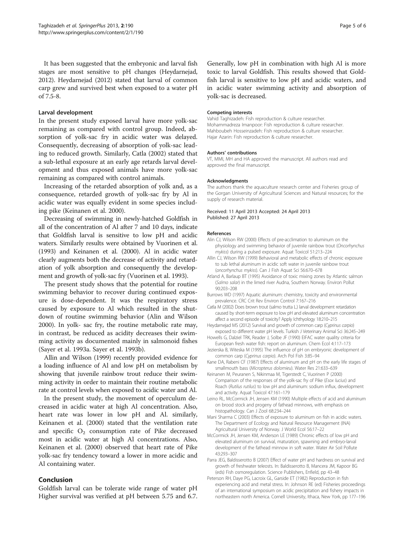<span id="page-4-0"></span>It has been suggested that the embryonic and larval fish stages are most sensitive to pH changes (Heydarnejad, 2012). Heydarnejad (2012) stated that larval of common carp grew and survived best when exposed to a water pH of 7.5-8.

### Larval development

In the present study exposed larval have more yolk-sac remaining as compared with control group. Indeed, absorption of yolk-sac fry in acidic water was delayed. Consequently, decreasing of absorption of yolk-sac leading to reduced growth. Similarly, Catla (2002) stated that a sub-lethal exposure at an early age retards larval development and thus exposed animals have more yolk-sac remaining as compared with control animals.

Increasing of the retarded absorption of yolk and, as a consequence, retarded growth of yolk-sac fry by Al in acidic water was equally evident in some species including pike (Keinanen et al. 2000).

Decreasing of swimming in newly-hatched Goldfish in all of the concentration of Al after 7 and 10 days, indicate that Goldfish larval is sensitive to low pH and acidic waters. Similarly results were obtained by Vuorinen et al. ([1993](#page-5-0)) and Keinanen et al. (2000). Al in acidic water clearly augments both the decrease of activity and retardation of yolk absorption and consequently the development and growth of yolk-sac fry (Vuorinen et al. [1993\)](#page-5-0).

The present study shows that the potential for routine swimming behavior to recover during continued exposure is dose-dependent. It was the respiratory stress caused by exposure to Al which resulted in the shutdown of routine swimming behavior (Alin and Wilson 2000). In yolk- sac fry, the routine metabolic rate may, in contrast, be reduced as acidity decreases their swimming activity as documented mainly in salmonoid fishes (Sayer et al. [1993a](#page-5-0). Sayer et al. [1993b](#page-5-0)).

Allin and Wilson (1999) recently provided evidence for a loading influence of Al and low pH on metabolism by showing that juvenile rainbow trout reduce their swimming activity in order to maintain their routine metabolic rate at control levels when exposed to acidic water and Al.

In the present study, the movement of operculum decreased in acidic water at high Al concentration. Also, heart rate was lower in low pH and Al. similarly, Keinanen et al. (2000) stated that the ventilation rate and specific  $O_2$  consumption rate of Pike decreased most in acidic water at high Al concentrations. Also, Keinanen et al. (2000) observed that heart rate of Pike yolk-sac fry tendency toward a lower in more acidic and Al containing water.

### Conclusion

Goldfish larval can be tolerate wide range of water pH Higher survival was verified at pH between 5.75 and 6.7.

Generally, low pH in combination with high Al is more toxic to larval Goldfish. This results showed that Goldfish larval is sensitive to low pH and acidic waters, and in acidic water swimming activity and absorption of yolk-sac is decreased.

#### Competing interests

Vahid Taghizadeh: Fish reproduction & culture researcher. Mohammadreza Imanpoor: Fish reproduction & culture researcher. Mahboubeh Hosseinzadeh: Fish reproduction & culture researcher. Hajar Azarin: Fish reproduction & culture researcher.

#### Authors' contributions

VT, MMI, MH and HA approved the manuscript. All authors read and approved the final manuscript.

#### Acknowledgments

The authors thank the aquaculture research center and Fisheries group of the Gorgan University of Agricultural Sciences and Natural resources; for the supply of research material.

#### Received: 11 April 2013 Accepted: 24 April 2013 Published: 27 April 2013

### References

- Alin CJ, Wilson RW (2000) Effects of pre-acclimation to aluminum on the physiology and swimming behavior of juvenile rainbow trout (Oncorhynchus mykiss) during a pulsed exposure. Aquat Toxicol 51:213–224
- Allin CJ, Wilson RW (1999) Behavioral and metabolic effects of chronic exposure to sub lethal aluminum in acidic soft water in juvenile rainbow trout (oncorhynchus mykiss). Can J Fish Aquat Sci 56:670–678
- Atland A, Barlaup BT (1995) Avoidance of toxic mixing zones by Atlantic salmon (Salmo salar) in the limed river Audna, Southern Norway. Environ Pollut 90:203–208
- Burrows WD (1997) Aquatic aluminum: chemistry, toxicity and environmental prevalence. CRC Crit Rev Environ Control 7:167–216
- Catla M (2002) Does brown trout (salmo trutta L.) larval development retardation caused by short-term exposure to low pH and elevated aluminum concentration affect a second episode of toxicity? Apply Ichthyology 18:210–215
- Heydarnejad MS (2012) Survival and growth of common carp (Cyprinus carpio) exposed to different water pH levels. Turkish J Veterinary Animal Sci 36:245–249
- Howells G, Dalziel TRK, Reader J, Solbe JF (1990) EIFAC water quality criteria for European fresh water fish: report on aluminum. Chem Ecol 4:117–173
- Jezierska B, Witeska M (1995) The influence of pH on embryonic development of common carp (Cyprinus carpio). Arch Pol Fish 3:85–94
- Kane DA, Rabeni CF (1987) Effects of aluminum and pH on the early life stages of smallmouth bass (Micropterus dolomieu). Water Res 21:633–639
- Keinanen M, Peuranen S, Nikinmaa M, Tigerstedt C, Vuorinen P (2000) Comparison of the responses of the yolk-sac fry of Pike (Esox lucius) and Roach (Rutilus rutilus) to low pH and aluminum: sodium influx, development and activity. Aquat Toxicol 47:161–179
- Leino RL, McCormick JH, Jensen KM (1990) Multiple effects of acid and aluminum on brood stock and progeny of fathead minnows, with emphasis on histopathology. Can J Zool 68:234–244
- Mani Sharma C (2003) Effects of exposure to aluminum on fish in acidic waters. The Department of Ecology and Natural Resource Management (INA) Agricultural University of Norway. J World Ecol 56:17–22
- McCormick JH, Jensen KM, Anderson LE (1989) Chronic effects of low pH and elevated aluminum on survival, maturation, spawning and embryo-larval development of the fathead minnow in soft water. Water Air Soil Pollute 43:293–307
- Parra JEG, Baldisserotto B (2007) Effect of water pH and hardness on survival and growth of freshwater teleosts. In: Baldisserotto B, Mancera JM, Kapoor BG (eds) Fish osmoregulation. Science Publishers, Enfield, pp 43–48
- Peterson RH, Daye PG, Lacroix GL, Garside ET (1982) Reproduction in fish experiencing acid and metal stress. In: Johnson RE (ed) Fisheries proceedings of an international symposium on acidic precipitation and fishery impacts in northeastern north America. Cornell University, Ithaca, New York, pp 177–196